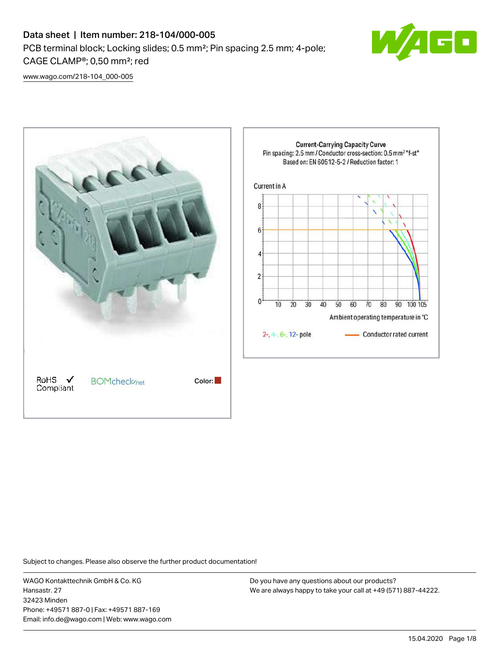

[www.wago.com/218-104\\_000-005](http://www.wago.com/218-104_000-005)



Subject to changes. Please also observe the further product documentation!

WAGO Kontakttechnik GmbH & Co. KG Hansastr. 27 32423 Minden Phone: +49571 887-0 | Fax: +49571 887-169 Email: info.de@wago.com | Web: www.wago.com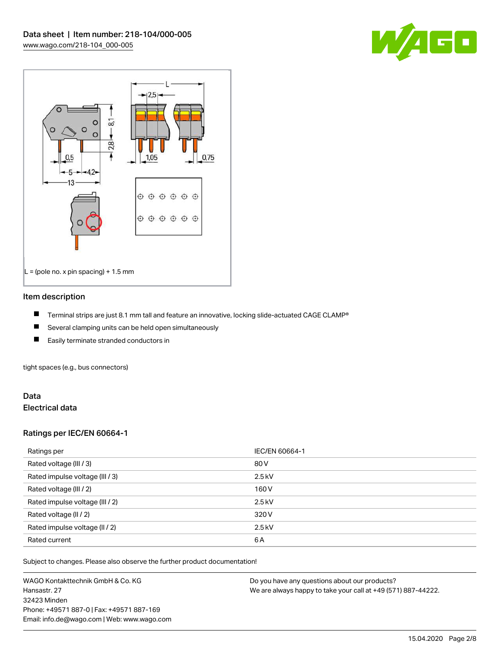



### Item description

- П Terminal strips are just 8.1 mm tall and feature an innovative, locking slide-actuated CAGE CLAMP®
- $\blacksquare$ Several clamping units can be held open simultaneously
- П Easily terminate stranded conductors in

tight spaces (e.g., bus connectors)

# Data Electrical data

# Ratings per IEC/EN 60664-1

| Ratings per                     | IEC/EN 60664-1 |
|---------------------------------|----------------|
| Rated voltage (III / 3)         | 80 V           |
| Rated impulse voltage (III / 3) | $2.5$ kV       |
| Rated voltage (III / 2)         | 160 V          |
| Rated impulse voltage (III / 2) | $2.5$ kV       |
| Rated voltage (II / 2)          | 320 V          |
| Rated impulse voltage (II / 2)  | $2.5$ kV       |
| Rated current                   | 6A             |

Subject to changes. Please also observe the further product documentation!

WAGO Kontakttechnik GmbH & Co. KG Hansastr. 27 32423 Minden Phone: +49571 887-0 | Fax: +49571 887-169 Email: info.de@wago.com | Web: www.wago.com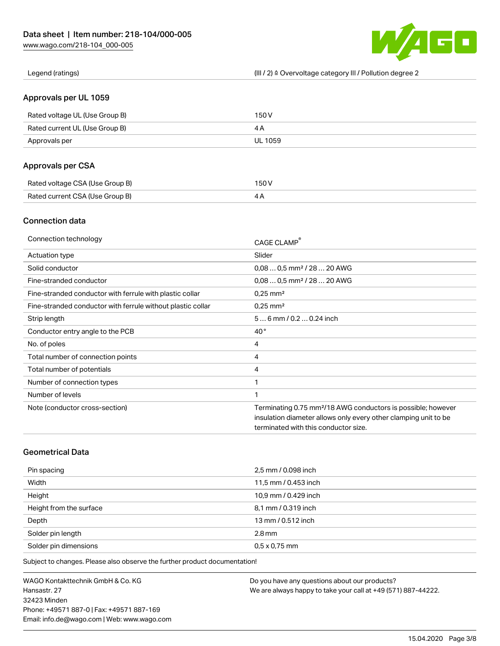

Legend (ratings) (III / 2) ≙ Overvoltage category III / Pollution degree 2

# Approvals per UL 1059

| Rated voltage UL (Use Group B) | 150 V   |
|--------------------------------|---------|
| Rated current UL (Use Group B) |         |
| Approvals per                  | UL 1059 |

# Approvals per CSA

| Rated voltage CSA (Use Group B) | 150 V |
|---------------------------------|-------|
| Rated current CSA (Use Group B) |       |

# Connection data

| Connection technology                                       | CAGE CLAMP®                                                              |
|-------------------------------------------------------------|--------------------------------------------------------------------------|
| Actuation type                                              | Slider                                                                   |
| Solid conductor                                             | $0.080.5$ mm <sup>2</sup> / 28  20 AWG                                   |
| Fine-stranded conductor                                     | $0.080.5$ mm <sup>2</sup> / 28  20 AWG                                   |
| Fine-stranded conductor with ferrule with plastic collar    | $0.25$ mm <sup>2</sup>                                                   |
| Fine-stranded conductor with ferrule without plastic collar | $0.25$ mm <sup>2</sup>                                                   |
| Strip length                                                | $56$ mm $/ 0.20.24$ inch                                                 |
| Conductor entry angle to the PCB                            | $40^{\circ}$                                                             |
| No. of poles                                                | 4                                                                        |
| Total number of connection points                           | 4                                                                        |
| Total number of potentials                                  | 4                                                                        |
| Number of connection types                                  | 1                                                                        |
| Number of levels                                            | 1                                                                        |
| Note (conductor cross-section)                              | Terminating 0.75 mm <sup>2</sup> /18 AWG conductors is possible; however |
|                                                             | insulation diameter allows only every other clamping unit to be          |
|                                                             | terminated with this conductor size.                                     |

# Geometrical Data

| Pin spacing             | 2,5 mm / 0.098 inch  |
|-------------------------|----------------------|
| Width                   | 11,5 mm / 0.453 inch |
| Height                  | 10,9 mm / 0.429 inch |
| Height from the surface | 8,1 mm / 0.319 inch  |
| Depth                   | 13 mm / 0.512 inch   |
| Solder pin length       | $2.8$ mm             |
| Solder pin dimensions   | $0.5 \times 0.75$ mm |

Subject to changes. Please also observe the further product documentation!

WAGO Kontakttechnik GmbH & Co. KG Hansastr. 27 32423 Minden Phone: +49571 887-0 | Fax: +49571 887-169 Email: info.de@wago.com | Web: www.wago.com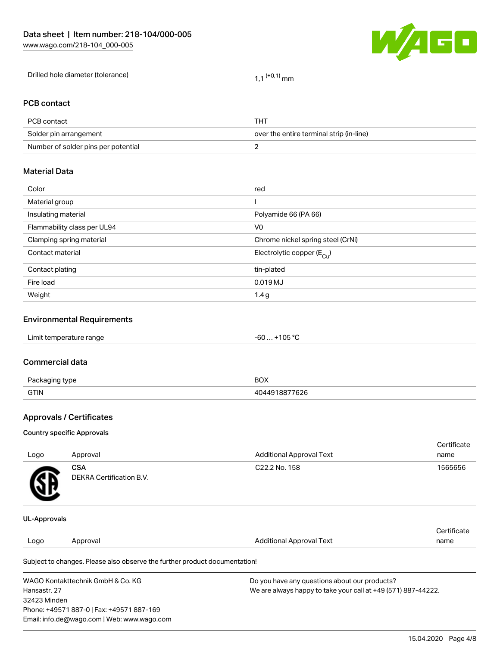Phone: +49571 887-0 | Fax: +49571 887-169 Email: info.de@wago.com | Web: www.wago.com



|                              |                                                                            | - - -                                                                                                          |                     |  |  |
|------------------------------|----------------------------------------------------------------------------|----------------------------------------------------------------------------------------------------------------|---------------------|--|--|
|                              | Drilled hole diameter (tolerance)                                          | $1,1$ <sup>(+0,1)</sup> mm                                                                                     |                     |  |  |
| <b>PCB</b> contact           |                                                                            |                                                                                                                |                     |  |  |
| PCB contact                  |                                                                            | <b>THT</b>                                                                                                     |                     |  |  |
|                              | Solder pin arrangement                                                     | over the entire terminal strip (in-line)                                                                       |                     |  |  |
|                              | Number of solder pins per potential                                        | 2                                                                                                              |                     |  |  |
| <b>Material Data</b>         |                                                                            |                                                                                                                |                     |  |  |
| Color                        |                                                                            | red                                                                                                            |                     |  |  |
| Material group               |                                                                            | $\overline{\phantom{a}}$                                                                                       |                     |  |  |
| Insulating material          |                                                                            | Polyamide 66 (PA 66)                                                                                           |                     |  |  |
|                              | Flammability class per UL94                                                | V <sub>0</sub>                                                                                                 |                     |  |  |
|                              | Clamping spring material                                                   | Chrome nickel spring steel (CrNi)                                                                              |                     |  |  |
| Contact material             |                                                                            | Electrolytic copper ( $E_{Cl}$ )                                                                               |                     |  |  |
| Contact plating              |                                                                            | tin-plated                                                                                                     |                     |  |  |
| Fire load                    |                                                                            | 0.019 MJ                                                                                                       |                     |  |  |
| Weight                       | 1.4 <sub>g</sub>                                                           |                                                                                                                |                     |  |  |
|                              | <b>Environmental Requirements</b>                                          |                                                                                                                |                     |  |  |
| Limit temperature range      |                                                                            | $-60+105$ °C                                                                                                   |                     |  |  |
| <b>Commercial data</b>       |                                                                            |                                                                                                                |                     |  |  |
| Packaging type               |                                                                            | <b>BOX</b>                                                                                                     |                     |  |  |
| <b>GTIN</b>                  |                                                                            | 4044918877626                                                                                                  |                     |  |  |
|                              | <b>Approvals / Certificates</b>                                            |                                                                                                                |                     |  |  |
|                              | <b>Country specific Approvals</b>                                          |                                                                                                                |                     |  |  |
| Logo                         | Approval                                                                   | <b>Additional Approval Text</b>                                                                                | Certificate<br>name |  |  |
|                              | <b>CSA</b>                                                                 | C22.2 No. 158                                                                                                  | 1565656             |  |  |
|                              | DEKRA Certification B.V.                                                   |                                                                                                                |                     |  |  |
| <b>UL-Approvals</b>          |                                                                            |                                                                                                                |                     |  |  |
| Logo                         | Approval                                                                   | <b>Additional Approval Text</b>                                                                                | Certificate<br>name |  |  |
|                              | Subject to changes. Please also observe the further product documentation! |                                                                                                                |                     |  |  |
| Hansastr. 27<br>32423 Minden | WAGO Kontakttechnik GmbH & Co. KG                                          | Do you have any questions about our products?<br>We are always happy to take your call at +49 (571) 887-44222. |                     |  |  |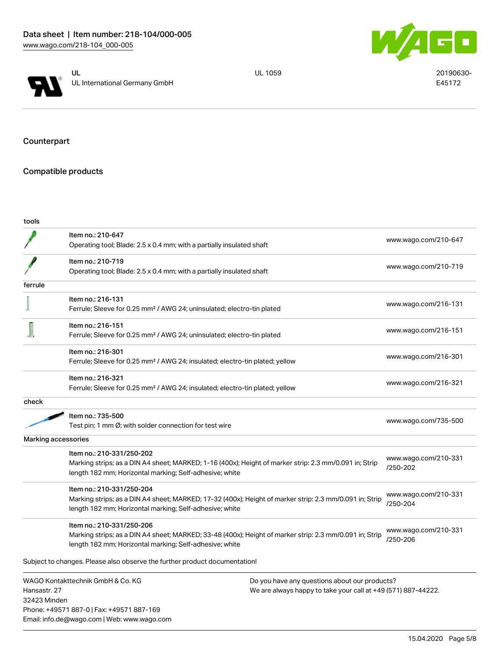



UL 1059 20190630-E45172

Counterpart

# Compatible products

Phone: +49571 887-0 | Fax: +49571 887-169 Email: info.de@wago.com | Web: www.wago.com

| tools                        |                                                                                                                                                                                                 |                                                                                                                |                                  |
|------------------------------|-------------------------------------------------------------------------------------------------------------------------------------------------------------------------------------------------|----------------------------------------------------------------------------------------------------------------|----------------------------------|
|                              | Item no.: 210-647<br>Operating tool; Blade: 2.5 x 0.4 mm; with a partially insulated shaft                                                                                                      |                                                                                                                | www.wago.com/210-647             |
|                              | Item no.: 210-719<br>Operating tool; Blade: 2.5 x 0.4 mm; with a partially insulated shaft                                                                                                      |                                                                                                                | www.wago.com/210-719             |
| ferrule                      |                                                                                                                                                                                                 |                                                                                                                |                                  |
|                              | Item no.: 216-131<br>Ferrule; Sleeve for 0.25 mm <sup>2</sup> / AWG 24; uninsulated; electro-tin plated                                                                                         |                                                                                                                | www.wago.com/216-131             |
|                              | Item no.: 216-151<br>Ferrule; Sleeve for 0.25 mm <sup>2</sup> / AWG 24; uninsulated; electro-tin plated                                                                                         |                                                                                                                | www.wago.com/216-151             |
|                              | Item no.: 216-301<br>Ferrule; Sleeve for 0.25 mm <sup>2</sup> / AWG 24; insulated; electro-tin plated; yellow                                                                                   |                                                                                                                | www.wago.com/216-301             |
|                              | Item no.: 216-321<br>Ferrule; Sleeve for 0.25 mm <sup>2</sup> / AWG 24; insulated; electro-tin plated; yellow                                                                                   |                                                                                                                | www.wago.com/216-321             |
| check                        |                                                                                                                                                                                                 |                                                                                                                |                                  |
|                              | Item no.: 735-500<br>Test pin; 1 mm Ø; with solder connection for test wire                                                                                                                     |                                                                                                                | www.wago.com/735-500             |
| Marking accessories          |                                                                                                                                                                                                 |                                                                                                                |                                  |
|                              | Item no.: 210-331/250-202<br>Marking strips; as a DIN A4 sheet; MARKED; 1-16 (400x); Height of marker strip: 2.3 mm/0.091 in; Strip<br>length 182 mm; Horizontal marking; Self-adhesive; white  |                                                                                                                | www.wago.com/210-331<br>/250-202 |
|                              | Item no.: 210-331/250-204<br>Marking strips; as a DIN A4 sheet; MARKED; 17-32 (400x); Height of marker strip: 2.3 mm/0.091 in; Strip<br>length 182 mm; Horizontal marking; Self-adhesive; white |                                                                                                                | www.wago.com/210-331<br>/250-204 |
|                              | Item no.: 210-331/250-206<br>Marking strips; as a DIN A4 sheet; MARKED; 33-48 (400x); Height of marker strip: 2.3 mm/0.091 in; Strip<br>length 182 mm; Horizontal marking; Self-adhesive; white |                                                                                                                | www.wago.com/210-331<br>/250-206 |
|                              | Subject to changes. Please also observe the further product documentation!                                                                                                                      |                                                                                                                |                                  |
| Hansastr, 27<br>32423 Minden | WAGO Kontakttechnik GmbH & Co. KG                                                                                                                                                               | Do you have any questions about our products?<br>We are always happy to take your call at +49 (571) 887-44222. |                                  |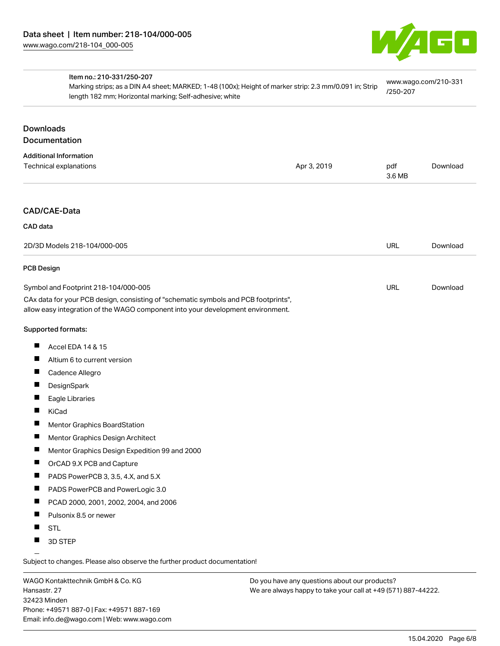

| Item no.: 210-331/250-207<br>Marking strips; as a DIN A4 sheet; MARKED; 1-48 (100x); Height of marker strip: 2.3 mm/0.091 in; Strip<br>length 182 mm; Horizontal marking; Self-adhesive; white |             | www.wago.com/210-331<br>/250-207 |          |
|------------------------------------------------------------------------------------------------------------------------------------------------------------------------------------------------|-------------|----------------------------------|----------|
| <b>Downloads</b>                                                                                                                                                                               |             |                                  |          |
| Documentation                                                                                                                                                                                  |             |                                  |          |
| <b>Additional Information</b>                                                                                                                                                                  |             |                                  |          |
| Technical explanations                                                                                                                                                                         | Apr 3, 2019 | pdf<br>3.6 MB                    | Download |
| CAD/CAE-Data                                                                                                                                                                                   |             |                                  |          |
| CAD data                                                                                                                                                                                       |             |                                  |          |
| 2D/3D Models 218-104/000-005                                                                                                                                                                   |             | <b>URL</b>                       | Download |
| <b>PCB Design</b>                                                                                                                                                                              |             |                                  |          |
| Symbol and Footprint 218-104/000-005                                                                                                                                                           |             | URL                              | Download |
| CAx data for your PCB design, consisting of "schematic symbols and PCB footprints",<br>allow easy integration of the WAGO component into your development environment.                         |             |                                  |          |
| Supported formats:                                                                                                                                                                             |             |                                  |          |
| Accel EDA 14 & 15<br>ш                                                                                                                                                                         |             |                                  |          |
| ш<br>Altium 6 to current version                                                                                                                                                               |             |                                  |          |
| Cadence Allegro                                                                                                                                                                                |             |                                  |          |
| $\blacksquare$<br>DesignSpark                                                                                                                                                                  |             |                                  |          |
| L<br>Eagle Libraries                                                                                                                                                                           |             |                                  |          |
| KiCad                                                                                                                                                                                          |             |                                  |          |
| Mentor Graphics BoardStation                                                                                                                                                                   |             |                                  |          |
| Mentor Graphics Design Architect                                                                                                                                                               |             |                                  |          |
| П<br>Mentor Graphics Design Expedition 99 and 2000                                                                                                                                             |             |                                  |          |
| OrCAD 9.X PCB and Capture                                                                                                                                                                      |             |                                  |          |
| PADS PowerPCB 3, 3.5, 4.X, and 5.X                                                                                                                                                             |             |                                  |          |
| ш<br>PADS PowerPCB and PowerLogic 3.0                                                                                                                                                          |             |                                  |          |
| п<br>PCAD 2000, 2001, 2002, 2004, and 2006                                                                                                                                                     |             |                                  |          |
| Pulsonix 8.5 or newer                                                                                                                                                                          |             |                                  |          |
| <b>STL</b>                                                                                                                                                                                     |             |                                  |          |
| 3D STEP                                                                                                                                                                                        |             |                                  |          |
|                                                                                                                                                                                                |             |                                  |          |

Subject to changes. Please also observe the further product documentation!

WAGO Kontakttechnik GmbH & Co. KG Hansastr. 27 32423 Minden Phone: +49571 887-0 | Fax: +49571 887-169 Email: info.de@wago.com | Web: www.wago.com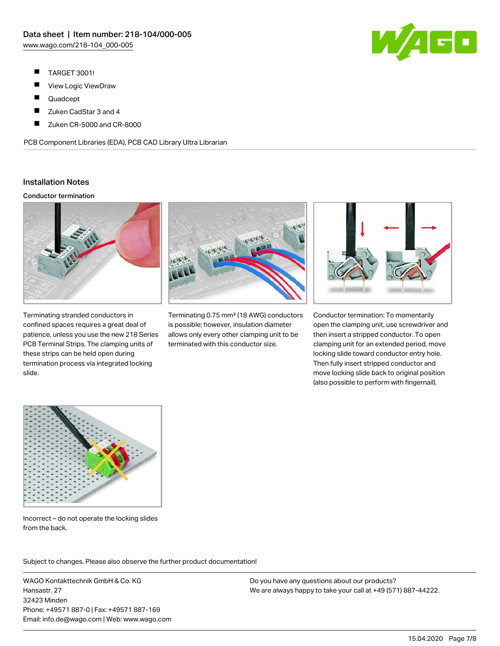460

- $\blacksquare$ TARGET 3001!
- $\blacksquare$ View Logic ViewDraw
- $\blacksquare$ Quadcept
- $\blacksquare$ Zuken CadStar 3 and 4
- П Zuken CR-5000 and CR-8000

PCB Component Libraries (EDA), PCB CAD Library Ultra Librarian

# Installation Notes

### Conductor termination



Terminating stranded conductors in confined spaces requires a great deal of patience, unless you use the new 218 Series PCB Terminal Strips. The clamping units of these strips can be held open during termination process via integrated locking slide.



Terminating 0.75 mm² (18 AWG) conductors is possible; however, insulation diameter allows only every other clamping unit to be terminated with this conductor size.



Conductor termination: To momentarily open the clamping unit, use screwdriver and then insert a stripped conductor. To open clamping unit for an extended period, move locking slide toward conductor entry hole. Then fully insert stripped conductor and move locking slide back to original position (also possible to perform with fingernail).



Incorrect – do not operate the locking slides from the back.

Subject to changes. Please also observe the further product documentation!

WAGO Kontakttechnik GmbH & Co. KG Hansastr. 27 32423 Minden Phone: +49571 887-0 | Fax: +49571 887-169 Email: info.de@wago.com | Web: www.wago.com